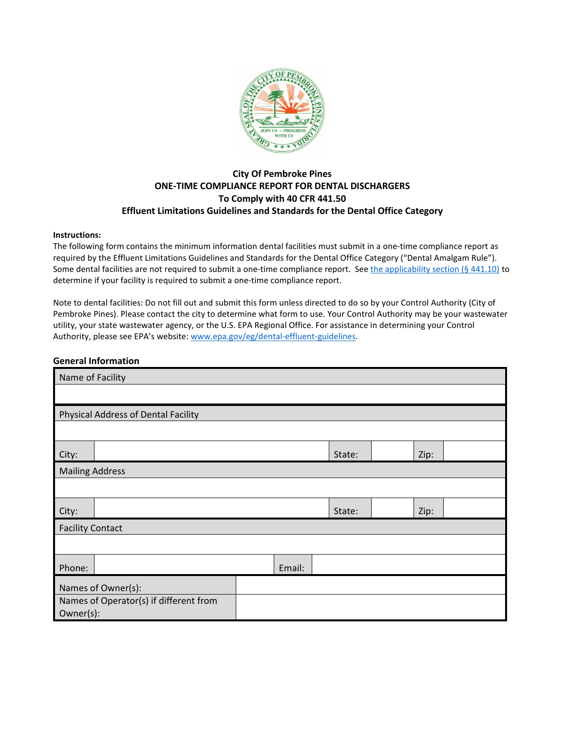

### **City Of Pembroke Pines ONE-TIME COMPLIANCE REPORT FOR DENTAL DISCHARGERS To Comply with 40 CFR 441.50 Effluent Limitations Guidelines and Standards for the Dental Office Category**

#### **Instructions:**

The following form contains the minimum information dental facilities must submit in a one-time compliance report as required by the Effluent Limitations Guidelines and Standards for the Dental Office Category ("Dental Amalgam Rule"). Some dental facilities are not required to submit a one-time compliance report. Se[e the applicability section](https://www.federalregister.gov/d/2017-12338/p-264) (§ 441.10) to determine if your facility is required to submit a one-time compliance report.

Note to dental facilities: Do not fill out and submit this form unless directed to do so by your Control Authority (City of Pembroke Pines). Please contact the city to determine what form to use. Your Control Authority may be your wastewater utility, your state wastewater agency, or the U.S. EPA Regional Office. For assistance in determining your Control Authority, please see EPA's website: [www.epa.gov/eg/dental-effluent-guidelines.](https://www.epa.gov/eg/dental-effluent-guidelines)

#### **General Information**

| Name of Facility                                    |                                     |  |        |        |      |  |
|-----------------------------------------------------|-------------------------------------|--|--------|--------|------|--|
|                                                     |                                     |  |        |        |      |  |
|                                                     | Physical Address of Dental Facility |  |        |        |      |  |
|                                                     |                                     |  |        |        |      |  |
| City:                                               |                                     |  |        | State: | Zip: |  |
| <b>Mailing Address</b>                              |                                     |  |        |        |      |  |
|                                                     |                                     |  |        |        |      |  |
| City:                                               |                                     |  | State: | Zip:   |      |  |
| <b>Facility Contact</b>                             |                                     |  |        |        |      |  |
|                                                     |                                     |  |        |        |      |  |
| Phone:                                              | Email:                              |  |        |        |      |  |
|                                                     | Names of Owner(s):                  |  |        |        |      |  |
| Names of Operator(s) if different from<br>Owner(s): |                                     |  |        |        |      |  |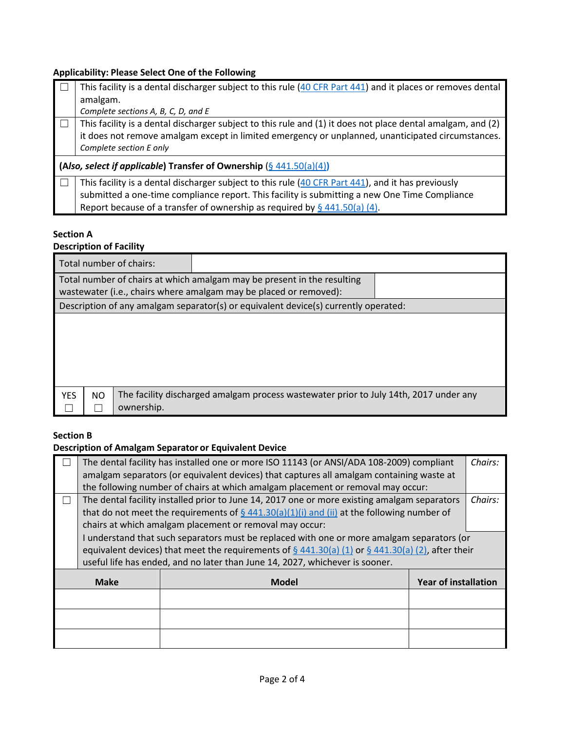# **Applicability: Please Select One of the Following**

|        | This facility is a dental discharger subject to this rule (40 CFR Part 441) and it places or removes dental |  |  |  |  |
|--------|-------------------------------------------------------------------------------------------------------------|--|--|--|--|
|        | amalgam.                                                                                                    |  |  |  |  |
|        | Complete sections A, B, C, D, and E                                                                         |  |  |  |  |
| $\Box$ | This facility is a dental discharger subject to this rule and (1) it does not place dental amalgam, and (2) |  |  |  |  |
|        | it does not remove amalgam except in limited emergency or unplanned, unanticipated circumstances.           |  |  |  |  |
|        | Complete section E only                                                                                     |  |  |  |  |
|        | (Also, select if applicable) Transfer of Ownership (§ 441.50(a)(4))                                         |  |  |  |  |
| $\Box$ | This facility is a dental discharger subject to this rule (40 CFR Part 441), and it has previously          |  |  |  |  |
|        | submitted a one-time compliance report. This facility is submitting a new One Time Compliance               |  |  |  |  |
|        |                                                                                                             |  |  |  |  |
|        | Report because of a transfer of ownership as required by $\S$ 441.50(a) (4).                                |  |  |  |  |

### **Section A**

### **Description of Facility**

| Total number of chairs:                                                                                                                      |                                                                                       |  |  |  |
|----------------------------------------------------------------------------------------------------------------------------------------------|---------------------------------------------------------------------------------------|--|--|--|
| Total number of chairs at which amalgam may be present in the resulting<br>wastewater (i.e., chairs where amalgam may be placed or removed): |                                                                                       |  |  |  |
|                                                                                                                                              | Description of any amalgam separator(s) or equivalent device(s) currently operated:   |  |  |  |
|                                                                                                                                              |                                                                                       |  |  |  |
|                                                                                                                                              |                                                                                       |  |  |  |
|                                                                                                                                              |                                                                                       |  |  |  |
|                                                                                                                                              |                                                                                       |  |  |  |
| <b>YES</b><br>NO.<br>ownership.                                                                                                              | The facility discharged amalgam process wastewater prior to July 14th, 2017 under any |  |  |  |

### **Section B**

# **Description of Amalgam Separator or Equivalent Device**

|             | The dental facility has installed one or more ISO 11143 (or ANSI/ADA 108-2009) compliant                |                                                                                               |                             | Chairs: |
|-------------|---------------------------------------------------------------------------------------------------------|-----------------------------------------------------------------------------------------------|-----------------------------|---------|
|             | amalgam separators (or equivalent devices) that captures all amalgam containing waste at                |                                                                                               |                             |         |
|             | the following number of chairs at which amalgam placement or removal may occur:                         |                                                                                               |                             |         |
|             | The dental facility installed prior to June 14, 2017 one or more existing amalgam separators<br>Chairs: |                                                                                               |                             |         |
|             |                                                                                                         | that do not meet the requirements of $\S$ 441.30(a)(1)(i) and (ii) at the following number of |                             |         |
|             |                                                                                                         | chairs at which amalgam placement or removal may occur:                                       |                             |         |
|             | I understand that such separators must be replaced with one or more amalgam separators (or              |                                                                                               |                             |         |
|             | equivalent devices) that meet the requirements of $\S$ 441.30(a) (1) or $\S$ 441.30(a) (2), after their |                                                                                               |                             |         |
|             | useful life has ended, and no later than June 14, 2027, whichever is sooner.                            |                                                                                               |                             |         |
| <b>Make</b> |                                                                                                         | Model                                                                                         | <b>Year of installation</b> |         |
|             |                                                                                                         |                                                                                               |                             |         |
|             |                                                                                                         |                                                                                               |                             |         |
|             |                                                                                                         |                                                                                               |                             |         |
|             |                                                                                                         |                                                                                               |                             |         |
|             |                                                                                                         |                                                                                               |                             |         |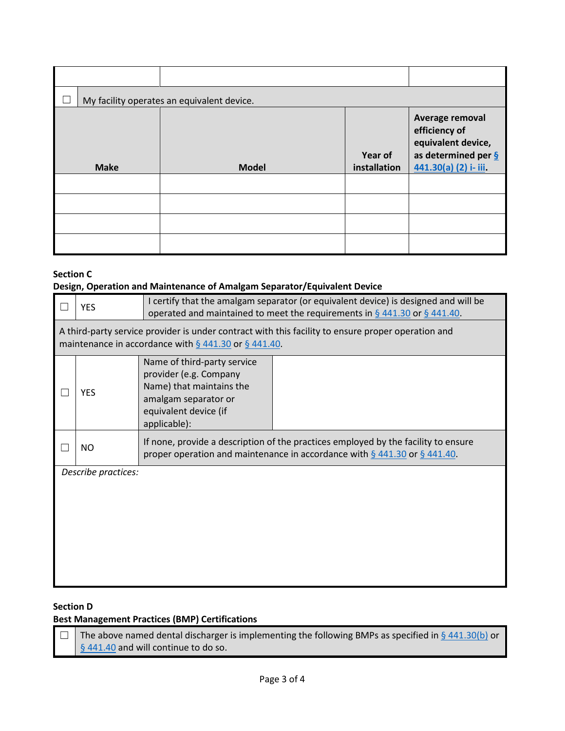| My facility operates an equivalent device. |              |                         |                                                                                                          |  |
|--------------------------------------------|--------------|-------------------------|----------------------------------------------------------------------------------------------------------|--|
| <b>Make</b>                                | <b>Model</b> | Year of<br>installation | Average removal<br>efficiency of<br>equivalent device,<br>as determined per $S$<br>441.30(a) (2) i- iii. |  |
|                                            |              |                         |                                                                                                          |  |
|                                            |              |                         |                                                                                                          |  |
|                                            |              |                         |                                                                                                          |  |
|                                            |              |                         |                                                                                                          |  |

### **Section C Design, Operation and Maintenance of Amalgam Separator/Equivalent Device**

| <b>YES</b>                                                                                                                                                       | I certify that the amalgam separator (or equivalent device) is designed and will be<br>operated and maintained to meet the requirements in $\S$ 441.30 or $\S$ 441.40. |  |  |
|------------------------------------------------------------------------------------------------------------------------------------------------------------------|------------------------------------------------------------------------------------------------------------------------------------------------------------------------|--|--|
| A third-party service provider is under contract with this facility to ensure proper operation and<br>maintenance in accordance with $\S$ 441.30 or $\S$ 441.40. |                                                                                                                                                                        |  |  |
| <b>YES</b>                                                                                                                                                       | Name of third-party service<br>provider (e.g. Company<br>Name) that maintains the<br>amalgam separator or<br>equivalent device (if<br>applicable):                     |  |  |
| <b>NO</b>                                                                                                                                                        | If none, provide a description of the practices employed by the facility to ensure<br>proper operation and maintenance in accordance with $\S$ 441.30 or $\S$ 441.40.  |  |  |
| Describe practices:                                                                                                                                              |                                                                                                                                                                        |  |  |

### **Section D**

# **Best Management Practices (BMP) Certifications**

 $\Box$  The above named dental discharger is implementing the following BMPs as specified in § [441.30\(b\)](https://www.federalregister.gov/d/2017-12338/p-299) or [§ 441.40](https://www.federalregister.gov/d/2017-12338/p-309) and will continue to do so.